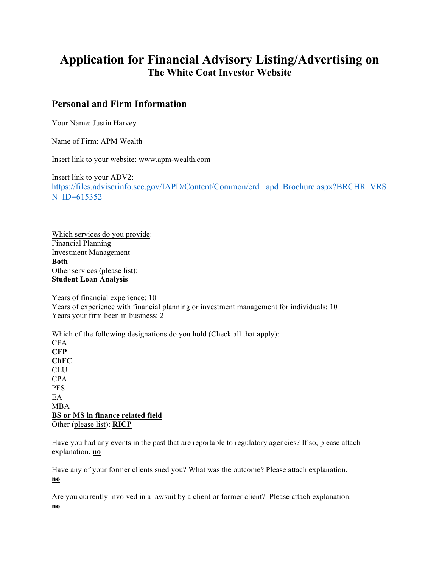# **Application for Financial Advisory Listing/Advertising on The White Coat Investor Website**

### **Personal and Firm Information**

Your Name: Justin Harvey

Name of Firm: APM Wealth

Insert link to your website: www.apm-wealth.com

Insert link to your ADV2: https://files.adviserinfo.sec.gov/IAPD/Content/Common/crd\_iapd\_Brochure.aspx?BRCHR\_VRS N\_ID=615352

Which services do you provide: Financial Planning Investment Management **Both** Other services (please list): **Student Loan Analysis**

Years of financial experience: 10 Years of experience with financial planning or investment management for individuals: 10 Years your firm been in business: 2

Which of the following designations do you hold (Check all that apply): CFA **CFP ChFC** CLU CPA PFS EA MBA **BS or MS in finance related field** Other (please list): **RICP**

Have you had any events in the past that are reportable to regulatory agencies? If so, please attach explanation. **no**

Have any of your former clients sued you? What was the outcome? Please attach explanation. **no**

Are you currently involved in a lawsuit by a client or former client? Please attach explanation. **no**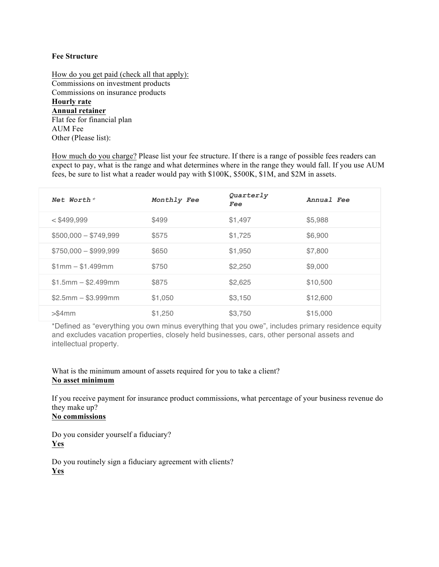#### **Fee Structure**

How do you get paid (check all that apply): Commissions on investment products Commissions on insurance products **Hourly rate Annual retainer** Flat fee for financial plan AUM Fee Other (Please list):

How much do you charge? Please list your fee structure. If there is a range of possible fees readers can expect to pay, what is the range and what determines where in the range they would fall. If you use AUM fees, be sure to list what a reader would pay with \$100K, \$500K, \$1M, and \$2M in assets.

| Net Worth $*$         | Monthly Fee | Quarterly<br>Fee | Annual Fee |
|-----------------------|-------------|------------------|------------|
| $<$ \$499.999         | \$499       | \$1,497          | \$5,988    |
| $$500,000 - $749,999$ | \$575       | \$1,725          | \$6,900    |
| $$750,000 - $999,999$ | \$650       | \$1,950          | \$7,800    |
| $$1mm - $1.499mm$     | \$750       | \$2,250          | \$9,000    |
| $$1.5mm - $2.499mm$   | \$875       | \$2,625          | \$10,500   |
| $$2.5mm - $3.999mm$   | \$1,050     | \$3,150          | \$12,600   |
| $>$ \$4 $mm$          | \$1,250     | \$3,750          | \$15,000   |

\*Defined as "everything you own minus everything that you owe", includes primary residence equity and excludes vacation properties, closely held businesses, cars, other personal assets and intellectual property.

#### What is the minimum amount of assets required for you to take a client? **No asset minimum**

If you receive payment for insurance product commissions, what percentage of your business revenue do they make up?

### **No commissions**

Do you consider yourself a fiduciary? **Yes**

Do you routinely sign a fiduciary agreement with clients? **Yes**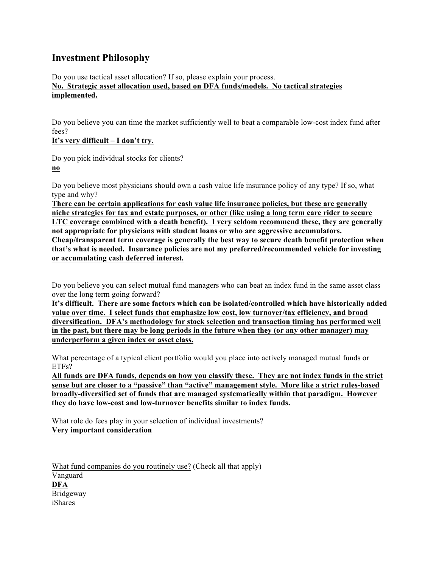### **Investment Philosophy**

Do you use tactical asset allocation? If so, please explain your process. **No. Strategic asset allocation used, based on DFA funds/models. No tactical strategies implemented.**

Do you believe you can time the market sufficiently well to beat a comparable low-cost index fund after fees?

**It's very difficult – I don't try.**

Do you pick individual stocks for clients? **no**

Do you believe most physicians should own a cash value life insurance policy of any type? If so, what type and why?

**There can be certain applications for cash value life insurance policies, but these are generally niche strategies for tax and estate purposes, or other (like using a long term care rider to secure LTC coverage combined with a death benefit). I very seldom recommend these, they are generally not appropriate for physicians with student loans or who are aggressive accumulators. Cheap/transparent term coverage is generally the best way to secure death benefit protection when that's what is needed. Insurance policies are not my preferred/recommended vehicle for investing or accumulating cash deferred interest.** 

Do you believe you can select mutual fund managers who can beat an index fund in the same asset class over the long term going forward?

**It's difficult. There are some factors which can be isolated/controlled which have historically added value over time. I select funds that emphasize low cost, low turnover/tax efficiency, and broad diversification. DFA's methodology for stock selection and transaction timing has performed well in the past, but there may be long periods in the future when they (or any other manager) may underperform a given index or asset class.**

What percentage of a typical client portfolio would you place into actively managed mutual funds or ETFs?

**All funds are DFA funds, depends on how you classify these. They are not index funds in the strict sense but are closer to a "passive" than "active" management style. More like a strict rules-based broadly-diversified set of funds that are managed systematically within that paradigm. However they do have low-cost and low-turnover benefits similar to index funds.**

What role do fees play in your selection of individual investments? **Very important consideration**

What fund companies do you routinely use? (Check all that apply) Vanguard **DFA** Bridgeway iShares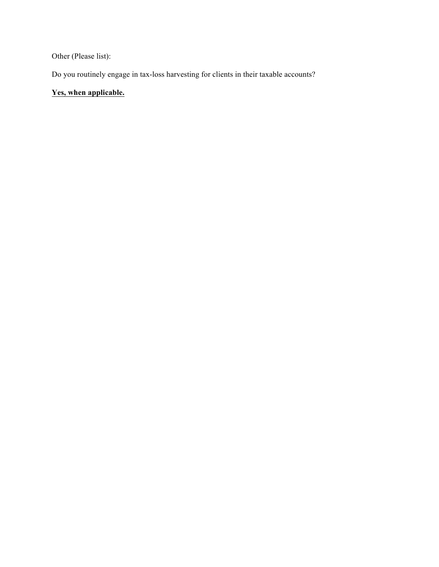Other (Please list):

Do you routinely engage in tax-loss harvesting for clients in their taxable accounts?

### **Yes, when applicable.**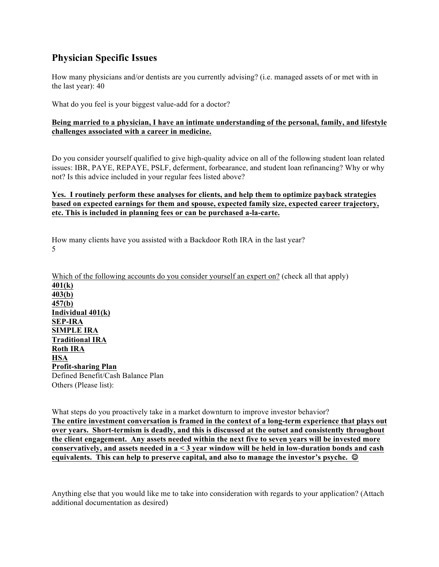## **Physician Specific Issues**

How many physicians and/or dentists are you currently advising? (i.e. managed assets of or met with in the last year): 40

What do you feel is your biggest value-add for a doctor?

#### **Being married to a physician, I have an intimate understanding of the personal, family, and lifestyle challenges associated with a career in medicine.**

Do you consider yourself qualified to give high-quality advice on all of the following student loan related issues: IBR, PAYE, REPAYE, PSLF, deferment, forbearance, and student loan refinancing? Why or why not? Is this advice included in your regular fees listed above?

#### **Yes. I routinely perform these analyses for clients, and help them to optimize payback strategies based on expected earnings for them and spouse, expected family size, expected career trajectory, etc. This is included in planning fees or can be purchased a-la-carte.**

How many clients have you assisted with a Backdoor Roth IRA in the last year? 5

Which of the following accounts do you consider yourself an expert on? (check all that apply) **401(k) 403(b) 457(b) Individual 401(k) SEP-IRA SIMPLE IRA Traditional IRA Roth IRA HSA Profit-sharing Plan** Defined Benefit/Cash Balance Plan Others (Please list):

What steps do you proactively take in a market downturn to improve investor behavior? **The entire investment conversation is framed in the context of a long-term experience that plays out over years. Short-termism is deadly, and this is discussed at the outset and consistently throughout the client engagement. Any assets needed within the next five to seven years will be invested more conservatively, and assets needed in a < 3 year window will be held in low-duration bonds and cash equivalents. This can help to preserve capital, and also to manage the investor's psyche.** ☺

Anything else that you would like me to take into consideration with regards to your application? (Attach additional documentation as desired)